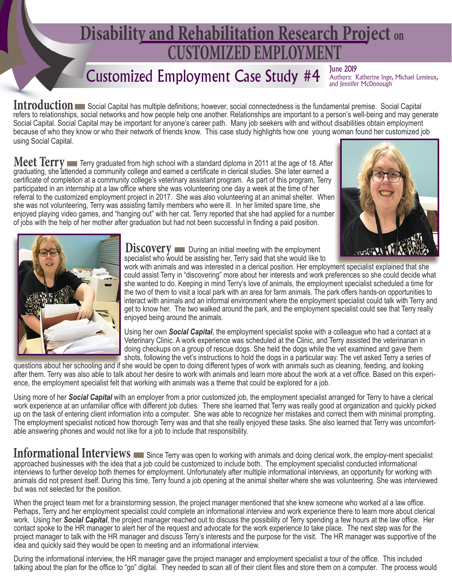# **CUSTOMIZED EMPLOYMENT Disability and Rehabilitation Research Project on**

## Customized Employment Case Study #4

June 2019<br>Authors: Katherine Inge, Michael Lemieux, and Jennifer McDonough

**Introduction** Social Capital has multiple definitions; however, social connectedness is the fundamental premise. Social Capital refers to relationships, social networks and how people help one another. Relationships are important to a person's well-being and may generate Social Capital. Social Capital may be important for anyone's career path. Many job seekers with and without disabilities obtain employment because of who they know or who their network of friends know. This case study highlights how one young woman found her customized job using Social Capital.

**Meet Terry** Terry graduated from high school with a standard diploma in 2011 at the age of 18. After graduating, she attended a community college and earned a certificate in clerical studies. She later earned a certificate of completion at a community college's veterinary assistant program. As part of this program, Terry participated in an internship at a law office where she was volunteering one day a week at the time of her referral to the customized employment project in 2017. She was also volunteering at an animal shelter. When she was not volunteering, Terry was assisting family members who were ill. In her limited spare time, she enjoyed playing video games, and "hanging out" with her cat. Terry reported that she had applied for a number of jobs with the help of her mother after graduation but had not been successful in finding a paid position.





**Discovery** During an initial meeting with the employment specialist who would be assisting her, Terry said that she would like to

work with animals and was interested in a clerical position. Her employment specialist explained that she could assist Terry in "discovering" more about her interests and work preferences so she could decide what she wanted to do. Keeping in mind Terry's love of animals, the employment specialist scheduled a time for the two of them to visit a local park with an area for farm animals. The park offers hands-on opportunities to interact with animals and an informal environment where the employment specialist could talk with Terry and get to know her. The two walked around the park, and the employment specialist could see that Terry really enjoyed being around the animals.

Using her own *Social Capital*, the employment specialist spoke with a colleague who had a contact at a Veterinary Clinic. A work experience was scheduled at the Clinic, and Terry assisted the veterinarian in doing checkups on a group of rescue dogs. She held the dogs while the vet examined and gave them shots, following the vet's instructions to hold the dogs in a particular way. The vet asked Terry a series of

questions about her schooling and if she would be open to doing different types of work with animals such as cleaning, feeding, and looking after them. Terry was also able to talk about her desire to work with animals and learn more about the work at a vet office. Based on this experience, the employment specialist felt that working with animals was a theme that could be explored for a job.

Using more of her *Social Capital* with an employer from a prior customized job, the employment specialist arranged for Terry to have a clerical work experience at an unfamiliar office with different job duties. There she learned that Terry was really good at organization and quickly picked up on the task of entering client information into a computer. She was able to recognize her mistakes and correct them with minimal prompting. The employment specialist noticed how thorough Terry was and that she really enjoyed these tasks. She also learned that Terry was uncomfortable answering phones and would not like for a job to include that responsibility.

Informational Interviews **Example 20** Since Terry was open to working with animals and doing clerical work, the employ-ment specialist approached businesses with the idea that a job could be customized to include both. The employment specialist conducted informational interviews to further develop both themes for employment. Unfortunately after multiple informational interviews, an opportunity for working with animals did not present itself. During this time, Terry found a job opening at the animal shelter where she was volunteering. She was interviewed but was not selected for the position.

When the project team met for a brainstorming session, the project manager mentioned that she knew someone who worked at a law office. Perhaps, Terry and her employment specialist could complete an informational interview and work experience there to learn more about clerical work. Using her *Social Capital*, the project manager reached out to discuss the possibility of Terry spending a few hours at the law office. Her contact spoke to the HR manager to alert her of the request and advocate for the work experience to take place. The next step was for the project manager to talk with the HR manager and discuss Terry's interests and the purpose for the visit. The HR manager was supportive of the idea and quickly said they would be open to meeting and an informational interview.

During the informational interview, the HR manager gave the project manager and employment specialist a tour of the office. This included talking about the plan for the office to "go" digital. They needed to scan all of their client files and store them on a computer. The process would